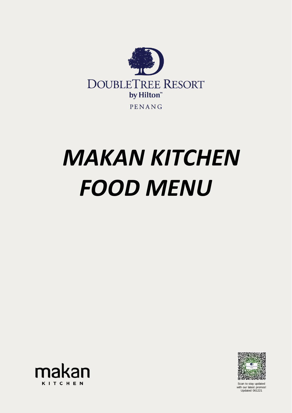Scan to stay updated with our latest promos! Updated 061221



# *MAKAN KITCHEN FOOD MENU*

## makan **KITCHEN**

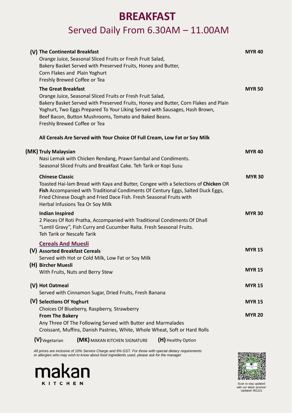### makan **KITCHEN**



Scan to stay updated with our latest promos! Updated 061221

### **BREAKFAST**

### Served Daily From 6.30AM – 11.00AM

#### Vegetarian (MK) MAKAN KITCHEN SIGNATURE (H) Healthy Option **(V) (H)**

| (V) The Continental Breakfast<br>Orange Juice, Seasonal Sliced Fruits or Fresh Fruit Salad,                                                                                                                                                                                                                                                             | <b>MYR40</b>  |
|---------------------------------------------------------------------------------------------------------------------------------------------------------------------------------------------------------------------------------------------------------------------------------------------------------------------------------------------------------|---------------|
| Bakery Basket Served with Preserved Fruits, Honey and Butter,<br>Corn Flakes and Plain Yoghurt<br>Freshly Brewed Coffee or Tea                                                                                                                                                                                                                          |               |
| <b>The Great Breakfast</b><br>Orange Juice, Seasonal Sliced Fruits or Fresh Fruit Salad,<br>Bakery Basket Served with Preserved Fruits, Honey and Butter, Corn Flakes and Plain<br>Yoghurt, Two Eggs Prepared To Your Liking Served with Sausages, Hash Brown,<br>Beef Bacon, Button Mushrooms, Tomato and Baked Beans.<br>Freshly Brewed Coffee or Tea | <b>MYR 50</b> |
| All Cereals Are Served with Your Choice Of Full Cream, Low Fat or Soy Milk                                                                                                                                                                                                                                                                              |               |
| (MK) Truly Malaysian<br>Nasi Lemak with Chicken Rendang, Prawn Sambal and Condiments.<br>Seasonal Sliced Fruits and Breakfast Cake. Teh Tarik or Kopi Susu                                                                                                                                                                                              | <b>MYR40</b>  |
| <b>Chinese Classic</b><br>Toasted Hai-lam Bread with Kaya and Butter, Congee with a Selections of Chicken OR<br><b>Fish Accompanied with Traditional Condiments Of Century Eggs, Salted Duck Eggs,</b><br>Fried Chinese Dough and Fried Dace Fish. Fresh Seasonal Fruits with<br>Herbal Infusions Tea Or Soy Milk                                       | <b>MYR 30</b> |
| <b>Indian Inspired</b><br>2 Pieces Of Roti Pratha, Accompanied with Traditional Condiments Of Dhall<br>"Lentil Gravy", Fish Curry and Cucumber Raita. Fresh Seasonal Fruits.<br>Teh Tarik or Nescafe Tarik                                                                                                                                              | <b>MYR 30</b> |
| <b>Cereals And Muesli</b><br>(V) Assorted Breakfast Cereals<br>Served with Hot or Cold Milk, Low Fat or Soy Milk                                                                                                                                                                                                                                        | <b>MYR 15</b> |
| (H) Bircher Muesli<br>With Fruits, Nuts and Berry Stew                                                                                                                                                                                                                                                                                                  | <b>MYR 15</b> |
| (V) Hot Oatmeal<br>Served with Cinnamon Sugar, Dried Fruits, Fresh Banana                                                                                                                                                                                                                                                                               | <b>MYR 15</b> |
| (V) Selections Of Yoghurt<br>Choices Of Blueberry, Raspberry, Strawberry                                                                                                                                                                                                                                                                                | <b>MYR 15</b> |

#### **From The Bakery**

Any Three Of The Following Served with Butter and Marmalades Croissant, Muffins, Danish Pastries, White, Whole Wheat, Soft or Hard Rolls **MYR 20**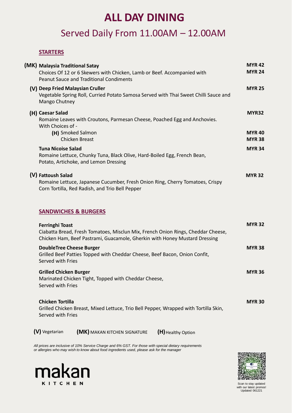### makan **KITCHEN**



Scan to stay updated with our latest promos! Updated 061221

### **ALL DAY DINING**

### Served Daily From 11.00AM – 12.00AM

#### **STARTERS**

|  | (MK) Malaysia Traditional Satay<br>Choices Of 12 or 6 Skewers with Chicken, Lamb or Beef. Accompanied with<br><b>Peanut Sauce and Traditional Condiments</b>                             | <b>MYR42</b><br><b>MYR 24</b> |
|--|------------------------------------------------------------------------------------------------------------------------------------------------------------------------------------------|-------------------------------|
|  | (V) Deep Fried Malaysian Cruller<br>Vegetable Spring Roll, Curried Potato Samosa Served with Thai Sweet Chilli Sauce and<br>Mango Chutney                                                | <b>MYR 25</b>                 |
|  | (H) Caesar Salad<br>Romaine Leaves with Croutons, Parmesan Cheese, Poached Egg and Anchovies.<br>With Choices of -                                                                       | MYR32                         |
|  | (H) Smoked Salmon<br><b>Chicken Breast</b>                                                                                                                                               | <b>MYR40</b><br><b>MYR 38</b> |
|  | <b>Tuna Nicoise Salad</b><br>Romaine Lettuce, Chunky Tuna, Black Olive, Hard-Boiled Egg, French Bean,<br>Potato, Artichoke, and Lemon Dressing                                           | <b>MYR 34</b>                 |
|  | (V) Fattoush Salad<br>Romaine Lettuce, Japanese Cucumber, Fresh Onion Ring, Cherry Tomatoes, Crispy<br>Corn Tortilla, Red Radish, and Trio Bell Pepper                                   | <b>MYR 32</b>                 |
|  | <b>SANDWICHES &amp; BURGERS</b>                                                                                                                                                          |                               |
|  | <b>Ferringhi Toast</b><br>Ciabatta Bread, Fresh Tomatoes, Misclun Mix, French Onion Rings, Cheddar Cheese,<br>Chicken Ham, Beef Pastrami, Guacamole, Gherkin with Honey Mustard Dressing | <b>MYR 32</b>                 |
|  | <b>DoubleTree Cheese Burger</b><br>Grilled Beef Patties Topped with Cheddar Cheese, Beef Bacon, Onion Confit,<br>Served with Fries                                                       | <b>MYR 38</b>                 |
|  | <b>Grilled Chicken Burger</b><br>Marinated Chicken Tight, Topped with Cheddar Cheese,<br>Served with Fries                                                                               | <b>MYR 36</b>                 |
|  | <b>Chicken Tortilla</b>                                                                                                                                                                  | <b>MYR 30</b>                 |

Grilled Chicken Breast, Mixed Lettuce, Trio Bell Pepper, Wrapped with Tortilla Skin,

Served with Fries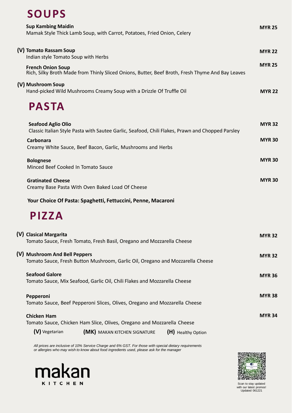### makan **KITCHEN**



Scan to stay updated with our latest promos! Updated 061221

### **SOUPS**

### Tomato Sauce, Chicken Ham Slice, Olives, Oregano and Mozzarella Cheese **(V)** Vegetarian (MK) MAKAN KITCHEN SIGNATURE (H) Healthy Option

| <b>Sup Kambing Maidin</b><br>Mamak Style Thick Lamb Soup, with Carrot, Potatoes, Fried Onion, Celery                                                                                          | <b>MYR 25</b>                  |
|-----------------------------------------------------------------------------------------------------------------------------------------------------------------------------------------------|--------------------------------|
| (V) Tomato Rassam Soup<br>Indian style Tomato Soup with Herbs<br><b>French Onion Soup</b><br>Rich, Silky Broth Made from Thinly Sliced Onions, Butter, Beef Broth, Fresh Thyme And Bay Leaves | <b>MYR 22</b><br><b>MYR 25</b> |
| (V) Mushroom Soup<br>Hand-picked Wild Mushrooms Creamy Soup with a Drizzle Of Truffle Oil<br><b>PASTA</b>                                                                                     | <b>MYR 22</b>                  |
| <b>Seafood Aglio Olio</b><br>Classic Italian Style Pasta with Sautee Garlic, Seafood, Chili Flakes, Prawn and Chopped Parsley                                                                 | <b>MYR 32</b>                  |
| <b>Carbonara</b><br>Creamy White Sauce, Beef Bacon, Garlic, Mushrooms and Herbs                                                                                                               | <b>MYR 30</b>                  |
| <b>Bolognese</b><br>Minced Beef Cooked In Tomato Sauce                                                                                                                                        | <b>MYR 30</b>                  |
| <b>Gratinated Cheese</b><br>Creamy Base Pasta With Oven Baked Load Of Cheese                                                                                                                  | <b>MYR 30</b>                  |
| Your Choice Of Pasta: Spaghetti, Fettuccini, Penne, Macaroni                                                                                                                                  |                                |
| PIZZA                                                                                                                                                                                         |                                |
| (V) Clasical Margarita<br>Tomato Sauce, Fresh Tomato, Fresh Basil, Oregano and Mozzarella Cheese                                                                                              | <b>MYR 32</b>                  |
| (V) Mushroom And Bell Peppers<br>Tomato Sauce, Fresh Button Mushroom, Garlic Oil, Oregano and Mozzarella Cheese                                                                               | <b>MYR 32</b>                  |
| <b>Seafood Galore</b><br>Tomato Sauce, Mix Seafood, Garlic Oil, Chili Flakes and Mozzarella Cheese                                                                                            | <b>MYR 36</b>                  |
| Pepperoni                                                                                                                                                                                     | <b>MYR 38</b>                  |

Tomato Sauce, Beef Pepperoni Slices, Olives, Oregano and Mozzarella Cheese

#### **Chicken Ham**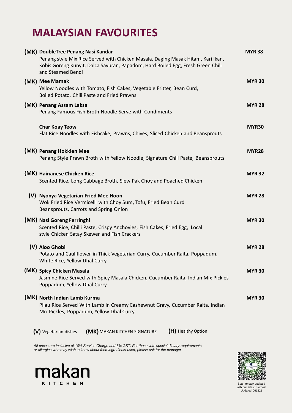## makan **KITCHEN**



Scan to stay updated with our latest promos! Updated 061221

### **MALAYSIAN FAVOURITES**

| (MK) DoubleTree Penang Nasi Kandar<br>Penang style Mix Rice Served with Chicken Masala, Daging Masak Hitam, Kari Ikan,<br>Kobis Goreng Kunyit, Dalca Sayuran, Papadom, Hard Boiled Egg, Fresh Green Chili<br>and Steamed Bendi | <b>MYR 38</b> |
|--------------------------------------------------------------------------------------------------------------------------------------------------------------------------------------------------------------------------------|---------------|
| (MK) Mee Mamak<br>Yellow Noodles with Tomato, Fish Cakes, Vegetable Fritter, Bean Curd,<br>Boiled Potato, Chili Paste and Fried Prawns                                                                                         | <b>MYR 30</b> |
| (MK) Penang Assam Laksa<br>Penang Famous Fish Broth Noodle Serve with Condiments                                                                                                                                               | <b>MYR 28</b> |
| <b>Char Koay Teow</b><br>Flat Rice Noodles with Fishcake, Prawns, Chives, Sliced Chicken and Beansprouts                                                                                                                       | MYR30         |
| (MK) Penang Hokkien Mee<br>Penang Style Prawn Broth with Yellow Noodle, Signature Chili Paste, Beansprouts                                                                                                                     | MYR28         |
| (MK) Hainanese Chicken Rice<br>Scented Rice, Long Cabbage Broth, Siew Pak Choy and Poached Chicken                                                                                                                             | <b>MYR 32</b> |
| (V) Nyonya Vegetarian Fried Mee Hoon<br>Wok Fried Rice Vermicelli with Choy Sum, Tofu, Fried Bean Curd<br>Beansprouts, Carrots and Spring Onion                                                                                | <b>MYR 28</b> |
| (MK) Nasi Goreng Ferringhi<br>Scented Rice, Chilli Paste, Crispy Anchovies, Fish Cakes, Fried Egg, Local<br>style Chicken Satay Skewer and Fish Crackers                                                                       | <b>MYR 30</b> |
| (V) Aloo Ghobi<br>Potato and Cauliflower in Thick Vegetarian Curry, Cucumber Raita, Poppadum,<br>White Rice, Yellow Dhal Curry                                                                                                 | <b>MYR 28</b> |
| (MK) Spicy Chicken Masala<br>Jasmine Rice Served with Spicy Masala Chicken, Cucumber Raita, Indian Mix Pickles<br>Poppadum, Yellow Dhal Curry                                                                                  | <b>MYR 30</b> |
| (MK) North Indian Lamb Kurma<br>Pilau Rice Served With Lamb in Creamy Cashewnut Gravy, Cucumber Raita, Indian                                                                                                                  | <b>MYR 30</b> |

Mix Pickles, Poppadum, Yellow Dhal Curry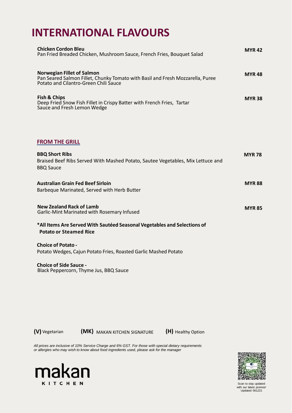### makan **KITCHEN**



Scan to stay updated with our latest promos! Updated 061221

### **INTERNATIONAL FLAVOURS**

| <b>Chicken Cordon Bleu</b><br>Pan Fried Breaded Chicken, Mushroom Sauce, French Fries, Bouquet Salad                                                         | <b>MYR 42</b> |
|--------------------------------------------------------------------------------------------------------------------------------------------------------------|---------------|
| <b>Norwegian Fillet of Salmon</b><br>Pan Seared Salmon Fillet, Chunky Tomato with Basil and Fresh Mozzarella, Puree<br>Potato and Cilantro-Green Chili Sauce | <b>MYR 48</b> |
| Fish & Chips<br>Deep Fried Snow Fish Fillet in Crispy Batter with French Fries, Tartar<br>Sauce and Fresh Lemon Wedge                                        | <b>MYR 38</b> |
| <b>FROM THE GRILL</b>                                                                                                                                        |               |
| <b>BBQ Short Ribs</b><br>Braised Beef Ribs Served With Mashed Potato, Sautee Vegetables, Mix Lettuce and<br><b>BBQ Sauce</b>                                 | <b>MYR 78</b> |
| <b>Australian Grain Fed Beef Sirloin</b><br>Barbeque Marinated, Served with Herb Butter                                                                      | <b>MYR 88</b> |
| <b>New Zealand Rack of Lamb</b><br>Garlic-Mint Marinated with Rosemary Infused                                                                               | <b>MYR 85</b> |
| *All Items Are Served With Sautéed Seasonal Vegetables and Selections of<br><b>Potato or Steamed Rice</b>                                                    |               |
| <b>Choice of Potato -</b><br>Potato Wedges, Cajun Potato Fries, Roasted Garlic Mashed Potato                                                                 |               |
| <b>Choice of Side Sauce -</b><br>Black Peppercorn, Thyme Jus, BBQ Sauce                                                                                      |               |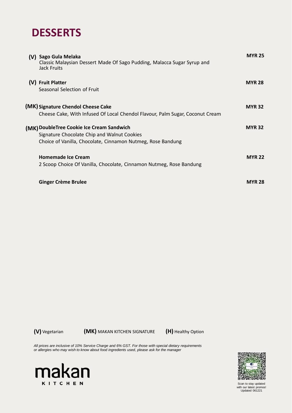## makan **KITCHEN**



Scan to stay updated with our latest promos! Updated 061221

### **DESSERTS**

| (V) Sago Gula Melaka<br>Classic Malaysian Dessert Made Of Sago Pudding, Malacca Sugar Syrup and<br><b>Jack Fruits</b>                                   | <b>MYR 25</b> |
|---------------------------------------------------------------------------------------------------------------------------------------------------------|---------------|
| (V) Fruit Platter<br>Seasonal Selection of Fruit                                                                                                        | <b>MYR 28</b> |
| (MK) Signature Chendol Cheese Cake<br>Cheese Cake, With Infused Of Local Chendol Flavour, Palm Sugar, Coconut Cream                                     | <b>MYR 32</b> |
| (MK) DoubleTree Cookie Ice Cream Sandwich<br>Signature Chocolate Chip and Walnut Cookies<br>Choice of Vanilla, Chocolate, Cinnamon Nutmeg, Rose Bandung | <b>MYR 32</b> |
| <b>Homemade Ice Cream</b><br>2 Scoop Choice Of Vanilla, Chocolate, Cinnamon Nutmeg, Rose Bandung                                                        | <b>MYR 22</b> |
| <b>Ginger Crème Brulee</b>                                                                                                                              | <b>MYR 28</b> |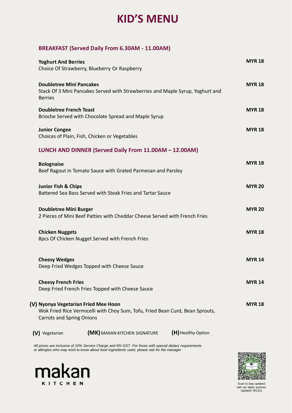### makan **KITCHEN**



Scan to stay updated with our latest promos! Updated 061221

### **KID'S MENU**

### **BREAKFAST (Served Daily From 6.30AM - 11.00AM)**

| <b>Yoghurt And Berries</b>                                                                                                          | <b>MYR 18</b> |
|-------------------------------------------------------------------------------------------------------------------------------------|---------------|
| Choice Of Strawberry, Blueberry Or Raspberry                                                                                        |               |
| <b>Doubletree Mini Pancakes</b><br>Stack Of 3 Mini Pancakes Served with Strawberries and Maple Syrup, Yoghurt and<br><b>Berries</b> | <b>MYR 18</b> |
| <b>Doubletree French Toast</b><br>Brioche Served with Chocolate Spread and Maple Syrup                                              | <b>MYR 18</b> |
| <b>Junior Congee</b><br>Choices of Plain, Fish, Chicken or Vegetables                                                               | <b>MYR 18</b> |
| LUNCH AND DINNER (Served Daily From 11.00AM – 12.00AM)                                                                              |               |
| <b>Bolognaise</b><br>Beef Ragout in Tomato Sauce with Grated Parmesan and Parsley                                                   | <b>MYR 18</b> |
| <b>Junior Fish &amp; Chips</b><br>Battered Sea Bass Served with Steak Fries and Tartar Sauce                                        | <b>MYR 20</b> |
| <b>Doubletree Mini Burger</b><br>2 Pieces of Mini Beef Patties with Cheddar Cheese Served with French Fries                         | <b>MYR 20</b> |
| <b>Chicken Nuggets</b><br>8 apcs Of Chicken Nugget Served with French Fries                                                         | <b>MYR 18</b> |
| <b>Cheesy Wedges</b><br>Deep Fried Wedges Topped with Cheese Sauce                                                                  | <b>MYR 14</b> |
| <b>Cheesy French Fries</b><br>Deep Fried French Fries Topped with Cheese Sauce                                                      | <b>MYR 14</b> |
| (V) Nyonya Vegetarian Fried Mee Hoon                                                                                                | <b>MYR 18</b> |

Wok Fried Rice Vermicelli with Choy Sum, Tofu, Fried Bean Curd, Bean Sprouts, Carrots and Spring Onions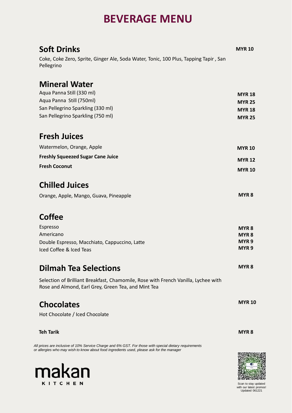# makan

Scan to stay updated with our latest promos! Updated 061221

| <b>Soft Drinks</b>                                                                                                                        | <b>MYR 10</b>    |
|-------------------------------------------------------------------------------------------------------------------------------------------|------------------|
| Coke, Coke Zero, Sprite, Ginger Ale, Soda Water, Tonic, 100 Plus, Tapping Tapir, San<br>Pellegrino                                        |                  |
| <b>Mineral Water</b>                                                                                                                      |                  |
| Aqua Panna Still (330 ml)                                                                                                                 | <b>MYR 18</b>    |
| Aqua Panna Still (750ml)                                                                                                                  | <b>MYR 25</b>    |
| San Pellegrino Sparkling (330 ml)                                                                                                         | <b>MYR 18</b>    |
| San Pellegrino Sparkling (750 ml)                                                                                                         | <b>MYR 25</b>    |
| <b>Fresh Juices</b>                                                                                                                       |                  |
| Watermelon, Orange, Apple                                                                                                                 | <b>MYR 10</b>    |
| <b>Freshly Squeezed Sugar Cane Juice</b>                                                                                                  | <b>MYR 12</b>    |
| <b>Fresh Coconut</b>                                                                                                                      | <b>MYR 10</b>    |
| <b>Chilled Juices</b>                                                                                                                     |                  |
| Orange, Apple, Mango, Guava, Pineapple                                                                                                    | MYR <sub>8</sub> |
| <b>Coffee</b>                                                                                                                             |                  |
| <b>Espresso</b>                                                                                                                           | MYR <sub>8</sub> |
| Americano                                                                                                                                 | <b>MYR 8</b>     |
| Double Espresso, Macchiato, Cappuccino, Latte                                                                                             | MYR <sub>9</sub> |
| Iced Coffee & Iced Teas                                                                                                                   | MYR <sub>9</sub> |
| <b>Dilmah Tea Selections</b>                                                                                                              | <b>MYR 8</b>     |
| Selection of Brilliant Breakfast, Chamomile, Rose with French Vanilla, Lychee with<br>Rose and Almond, Earl Grey, Green Tea, and Mint Tea |                  |

### **Chocolates**

Hot Chocolate / Iced Chocolate

#### **Teh Tarik MYR 8**

### **BEVERAGE MENU**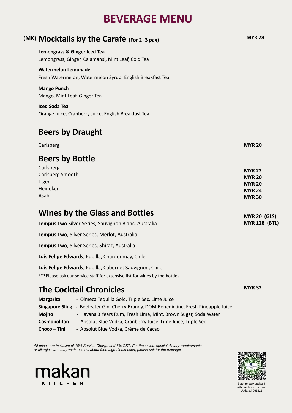## makan **KITCHEN**



Scan to stay updated with our latest promos! Updated 061221

| (MK) Mocktails by the Carafe (For 2 -3 pax)                                                                                             | <b>MYR 28</b>                                                                     |
|-----------------------------------------------------------------------------------------------------------------------------------------|-----------------------------------------------------------------------------------|
| Lemongrass & Ginger Iced Tea<br>Lemongrass, Ginger, Calamansi, Mint Leaf, Cold Tea                                                      |                                                                                   |
| <b>Watermelon Lemonade</b><br>Fresh Watermelon, Watermelon Syrup, English Breakfast Tea                                                 |                                                                                   |
| <b>Mango Punch</b><br>Mango, Mint Leaf, Ginger Tea                                                                                      |                                                                                   |
| <b>Iced Soda Tea</b><br>Orange juice, Cranberry Juice, English Breakfast Tea                                                            |                                                                                   |
| <b>Beers by Draught</b>                                                                                                                 |                                                                                   |
| Carlsberg                                                                                                                               | <b>MYR 20</b>                                                                     |
| <b>Beers by Bottle</b>                                                                                                                  |                                                                                   |
| Carlsberg<br><b>Carlsberg Smooth</b><br><b>Tiger</b><br>Heineken<br>Asahi                                                               | <b>MYR 22</b><br><b>MYR 20</b><br><b>MYR 20</b><br><b>MYR 24</b><br><b>MYR 30</b> |
| <b>Wines by the Glass and Bottles</b>                                                                                                   | <b>MYR 20 (GLS)</b>                                                               |
| <b>Tempus Two</b> Silver Series, Sauvignon Blanc, Australia                                                                             | <b>MYR 128 (BTL)</b>                                                              |
| <b>Tempus Two, Silver Series, Merlot, Australia</b>                                                                                     |                                                                                   |
| <b>Tempus Two, Silver Series, Shiraz, Australia</b>                                                                                     |                                                                                   |
| Luis Felipe Edwards, Pupilla, Chardonmay, Chile                                                                                         |                                                                                   |
| Luis Felipe Edwards, Pupilla, Cabernet Sauvignon, Chile<br>***Please ask our service staff for extensive list for wines by the bottles. |                                                                                   |
| <b>The Cocktail Chronicles</b>                                                                                                          | <b>MYR 32</b>                                                                     |

**Margarita** - Olmeca Tequlila Gold, Triple Sec, Lime Juice **Singapore Sling -** Beefeater Gin, Cherry Brandy, DOM Benedictine, Fresh Pineapple Juice

| <b>Mojito</b> | - Havana 3 Years Rum, Fresh Lime, Mint, Brown Sugar, Soda Water |
|---------------|-----------------------------------------------------------------|
| Cosmopolitan  | - Absolut Blue Vodka, Cranberry Juice, Lime Juice, Triple Sec   |
| $Choco-Tini$  | - Absolut Blue Vodka, Crème de Cacao                            |

### **BEVERAGE MENU**